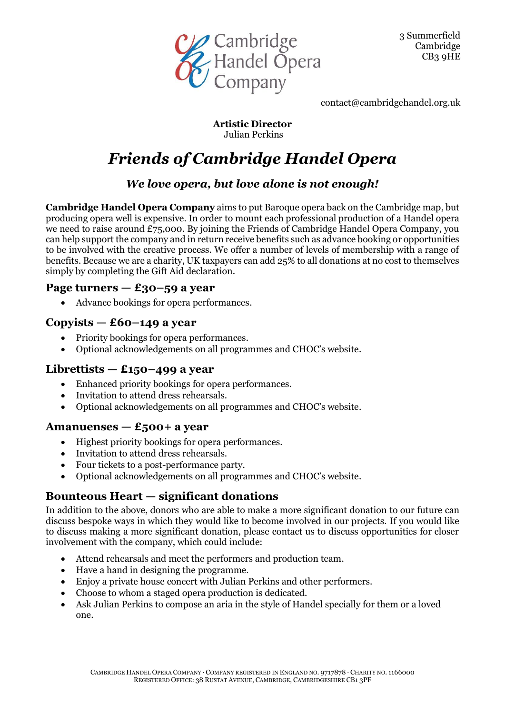

3 Summerfield Cambridge CB3 9HE

contact@cambridgehandel.org.uk

**Artistic Director** Julian Perkins

# *Friends of Cambridge Handel Opera*

## *We love opera, but love alone is not enough!*

**Cambridge Handel Opera Company** aims to put Baroque opera back on the Cambridge map, but producing opera well is expensive. In order to mount each professional production of a Handel opera we need to raise around £75,000. By joining the Friends of Cambridge Handel Opera Company, you can help support the company and in return receive benefits such as advance booking or opportunities to be involved with the creative process. We offer a number of levels of membership with a range of benefits. Because we are a charity, UK taxpayers can add 25% to all donations at no cost to themselves simply by completing the Gift Aid declaration.

#### **Page turners — £30–59 a year**

• Advance bookings for opera performances.

#### **Copyists — £60–149 a year**

- Priority bookings for opera performances.
- Optional acknowledgements on all programmes and CHOC's website.

#### **Librettists — £150–499 a year**

- Enhanced priority bookings for opera performances.
- Invitation to attend dress rehearsals.
- Optional acknowledgements on all programmes and CHOC's website.

#### **Amanuenses — £500+ a year**

- Highest priority bookings for opera performances.
- Invitation to attend dress rehearsals.
- Four tickets to a post-performance party.
- Optional acknowledgements on all programmes and CHOC's website.

## **Bounteous Heart — significant donations**

In addition to the above, donors who are able to make a more significant donation to our future can discuss bespoke ways in which they would like to become involved in our projects. If you would like to discuss making a more significant donation, please contact us to discuss opportunities for closer involvement with the company, which could include:

- Attend rehearsals and meet the performers and production team.
- Have a hand in designing the programme.
- Enjoy a private house concert with Julian Perkins and other performers.
- Choose to whom a staged opera production is dedicated.
- Ask Julian Perkins to compose an aria in the style of Handel specially for them or a loved one.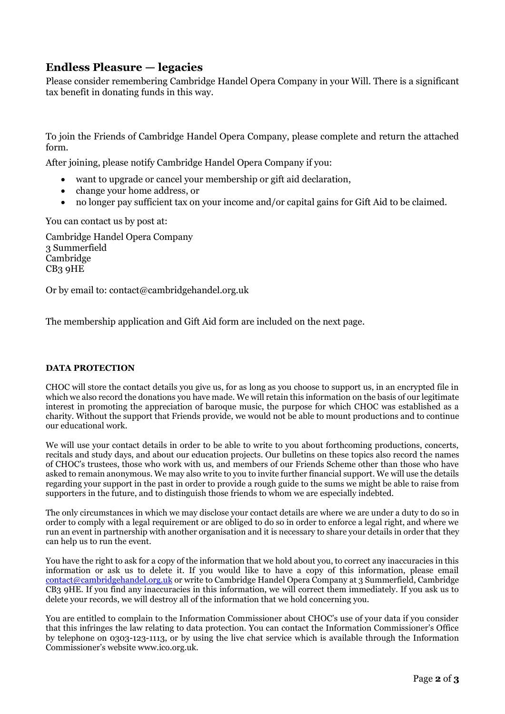#### **Endless Pleasure — legacies**

Please consider remembering Cambridge Handel Opera Company in your Will. There is a significant tax benefit in donating funds in this way.

To join the Friends of Cambridge Handel Opera Company, please complete and return the attached form.

After joining, please notify Cambridge Handel Opera Company if you:

- want to upgrade or cancel your membership or gift aid declaration,
- change your home address, or
- no longer pay sufficient tax on your income and/or capital gains for Gift Aid to be claimed.

You can contact us by post at:

Cambridge Handel Opera Company 3 Summerfield Cambridge CB3 9HE

Or by email to: contact@cambridgehandel.org.uk

The membership application and Gift Aid form are included on the next page.

#### **DATA PROTECTION**

CHOC will store the contact details you give us, for as long as you choose to support us, in an encrypted file in which we also record the donations you have made. We will retain this information on the basis of our legitimate interest in promoting the appreciation of baroque music, the purpose for which CHOC was established as a charity. Without the support that Friends provide, we would not be able to mount productions and to continue our educational work.

We will use your contact details in order to be able to write to you about forthcoming productions, concerts, recitals and study days, and about our education projects. Our bulletins on these topics also record the names of CHOC's trustees, those who work with us, and members of our Friends Scheme other than those who have asked to remain anonymous. We may also write to you to invite further financial support. We will use the details regarding your support in the past in order to provide a rough guide to the sums we might be able to raise from supporters in the future, and to distinguish those friends to whom we are especially indebted.

The only circumstances in which we may disclose your contact details are where we are under a duty to do so in order to comply with a legal requirement or are obliged to do so in order to enforce a legal right, and where we run an event in partnership with another organisation and it is necessary to share your details in order that they can help us to run the event.

You have the right to ask for a copy of the information that we hold about you, to correct any inaccuracies in this information or ask us to delete it. If you would like to have a copy of this information, please email  $\frac{\text{contact@cambridge-handed.org.uk}}{\text{contact@cambridge-handed.org.uk}}$  or write to Cambridge Handel Opera Company at 3 Summerfield, Cambridge CB3 9HE. If you find any inaccuracies in this information, we will correct them immediately. If you ask us to delete your records, we will destroy all of the information that we hold concerning you.

You are entitled to complain to the Information Commissioner about CHOC's use of your data if you consider that this infringes the law relating to data protection. You can contact the Information Commissioner's Office by telephone on 0303-123-1113, or by using the live chat service which is available through the Information Commissioner's website www.ico.org.uk.